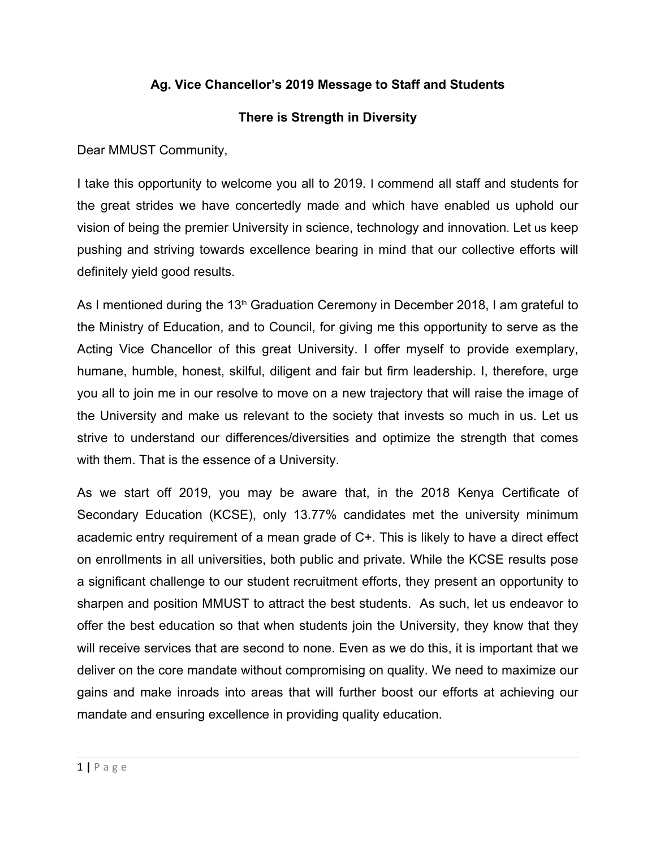## **Ag. Vice Chancellor's 2019 Message to Staff and Students**

## **There is Strength in Diversity**

Dear MMUST Community,

I take this opportunity to welcome you all to 2019. I commend all staff and students for the great strides we have concertedly made and which have enabled us uphold our vision of being the premier University in science, technology and innovation. Let us keep pushing and striving towards excellence bearing in mind that our collective efforts will definitely yield good results.

As I mentioned during the 13<sup>th</sup> Graduation Ceremony in December 2018, I am grateful to the Ministry of Education, and to Council, for giving me this opportunity to serve as the Acting Vice Chancellor of this great University. I offer myself to provide exemplary, humane, humble, honest, skilful, diligent and fair but firm leadership. I, therefore, urge you all to join me in our resolve to move on a new trajectory that will raise the image of the University and make us relevant to the society that invests so much in us. Let us strive to understand our differences/diversities and optimize the strength that comes with them. That is the essence of a University.

As we start off 2019, you may be aware that, in the 2018 Kenya Certificate of Secondary Education (KCSE), only 13.77% candidates met the university minimum academic entry requirement of a mean grade of C+. This is likely to have a direct effect on enrollments in all universities, both public and private. While the KCSE results pose a significant challenge to our student recruitment efforts, they present an opportunity to sharpen and position MMUST to attract the best students. As such, let us endeavor to offer the best education so that when students join the University, they know that they will receive services that are second to none. Even as we do this, it is important that we deliver on the core mandate without compromising on quality. We need to maximize our gains and make inroads into areas that will further boost our efforts at achieving our mandate and ensuring excellence in providing quality education.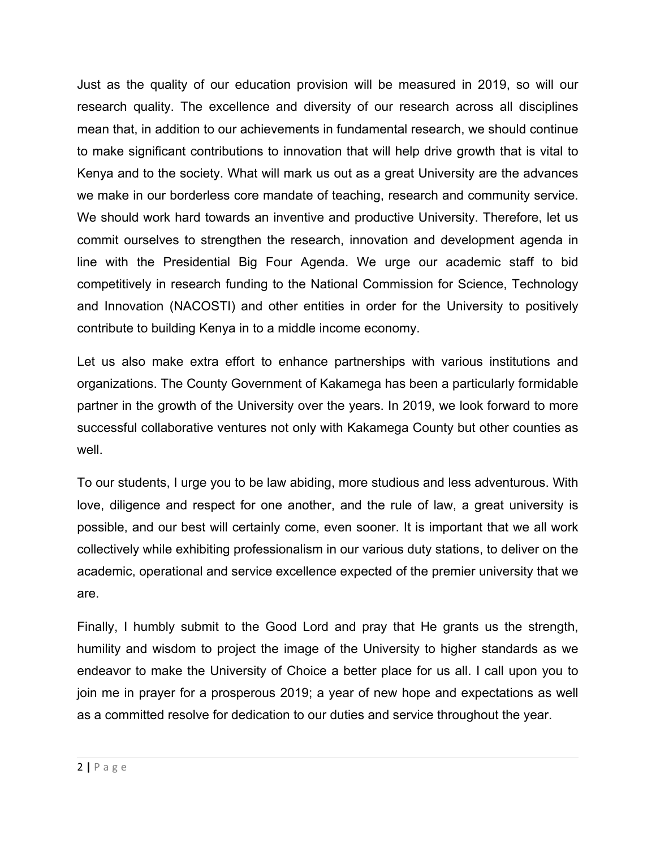Just as the quality of our education provision will be measured in 2019, so will our research quality. The excellence and diversity of our research across all disciplines mean that, in addition to our achievements in fundamental research, we should continue to make significant contributions to innovation that will help drive growth that is vital to Kenya and to the society. What will mark us out as a great University are the advances we make in our borderless core mandate of teaching, research and community service. We should work hard towards an inventive and productive University. Therefore, let us commit ourselves to strengthen the research, innovation and development agenda in line with the Presidential Big Four Agenda. We urge our academic staff to bid competitively in research funding to the National Commission for Science, Technology and Innovation (NACOSTI) and other entities in order for the University to positively contribute to building Kenya in to a middle income economy.

Let us also make extra effort to enhance partnerships with various institutions and organizations. The County Government of Kakamega has been a particularly formidable partner in the growth of the University over the years. In 2019, we look forward to more successful collaborative ventures not only with Kakamega County but other counties as well.

To our students, I urge you to be law abiding, more studious and less adventurous. With love, diligence and respect for one another, and the rule of law, a great university is possible, and our best will certainly come, even sooner. It is important that we all work collectively while exhibiting professionalism in our various duty stations, to deliver on the academic, operational and service excellence expected of the premier university that we are.

Finally, I humbly submit to the Good Lord and pray that He grants us the strength, humility and wisdom to project the image of the University to higher standards as we endeavor to make the University of Choice a better place for us all. I call upon you to join me in prayer for a prosperous 2019; a year of new hope and expectations as well as a committed resolve for dedication to our duties and service throughout the year.